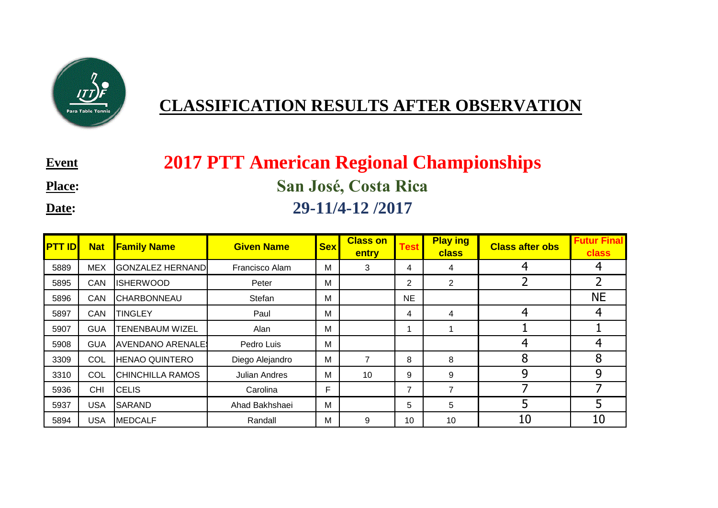

## **CLASSIFICATION RESULTS AFTER OBSERVATION**

**Event**:

**Place:**

**Date:**

## **2017 PTT American Regional Championships San José, Costa Rica 29-11/4-12 /2017**

| <b>PTT ID</b> | <b>Nat</b> | <b>Family Name</b>      | <b>Given Name</b>    | <b>Sex</b> | <b>Class on</b><br>entry | <b>Test</b>    | <b>Play ing</b><br><b>class</b> | <b>Class after obs</b> | <b>Futur Final</b><br><b>class</b> |
|---------------|------------|-------------------------|----------------------|------------|--------------------------|----------------|---------------------------------|------------------------|------------------------------------|
| 5889          | <b>MEX</b> | <b>GONZALEZ HERNAND</b> | Francisco Alam       | M          | 3                        | 4              | 4                               | 4                      |                                    |
| 5895          | CAN        | <b>ISHERWOOD</b>        | Peter                | M          |                          | $\overline{2}$ | 2                               |                        |                                    |
| 5896          | CAN        | <b>CHARBONNEAU</b>      | Stefan               | M          |                          | <b>NE</b>      |                                 |                        | <b>NE</b>                          |
| 5897          | CAN        | <b>TINGLEY</b>          | Paul                 | M          |                          | 4              | 4                               | 4                      |                                    |
| 5907          | <b>GUA</b> | <b>TENENBAUM WIZEL</b>  | Alan                 | M          |                          |                |                                 |                        |                                    |
| 5908          | <b>GUA</b> | <b>AVENDANO ARENALE</b> | Pedro Luis           | M          |                          |                |                                 | 4                      | 4                                  |
| 3309          | COL        | <b>HENAO QUINTERO</b>   | Diego Alejandro      | M          | $\overline{ }$           | 8              | 8                               | 8                      | 8                                  |
| 3310          | COL        | <b>CHINCHILLA RAMOS</b> | <b>Julian Andres</b> | M          | 10                       | 9              | 9                               | 9                      | 9                                  |
| 5936          | <b>CHI</b> | <b>CELIS</b>            | Carolina             | F          |                          | 7              | $\overline{7}$                  |                        |                                    |
| 5937          | <b>USA</b> | <b>SARAND</b>           | Ahad Bakhshaei       | M          |                          | 5              | 5                               | 5                      | 5                                  |
| 5894          | <b>USA</b> | <b>MEDCALF</b>          | Randall              | M          | 9                        | 10             | 10                              | 10                     | 10                                 |